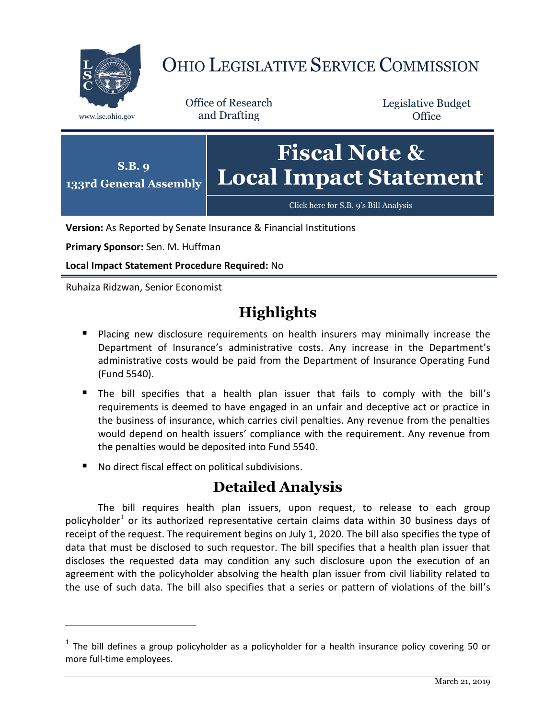

## OHIO LEGISLATIVE SERVICE COMMISSION

Office of Research www.lsc.ohio.gov and Drafting

Legislative Budget **Office** 



**Version:** As Reported by Senate Insurance & Financial Institutions

**Primary Sponsor:** Sen. M. Huffman

**Local Impact Statement Procedure Required:** No

Ruhaiza Ridzwan, Senior Economist

 $\overline{a}$ 

## **Highlights**

- **Placing new disclosure requirements on health insurers may minimally increase the** Department of Insurance's administrative costs. Any increase in the Department's administrative costs would be paid from the Department of Insurance Operating Fund (Fund 5540).
- The bill specifies that a health plan issuer that fails to comply with the bill's requirements is deemed to have engaged in an unfair and deceptive act or practice in the business of insurance, which carries civil penalties. Any revenue from the penalties would depend on health issuers' compliance with the requirement. Any revenue from the penalties would be deposited into Fund 5540.
- No direct fiscal effect on political subdivisions.

## **Detailed Analysis**

The bill requires health plan issuers, upon request, to release to each group policyholder<sup>1</sup> or its authorized representative certain claims data within 30 business days of receipt of the request. The requirement begins on July 1, 2020. The bill also specifies the type of data that must be disclosed to such requestor. The bill specifies that a health plan issuer that discloses the requested data may condition any such disclosure upon the execution of an agreement with the policyholder absolving the health plan issuer from civil liability related to the use of such data. The bill also specifies that a series or pattern of violations of the bill's

 $<sup>1</sup>$  The bill defines a group policyholder as a policyholder for a health insurance policy covering 50 or</sup> more full-time employees.